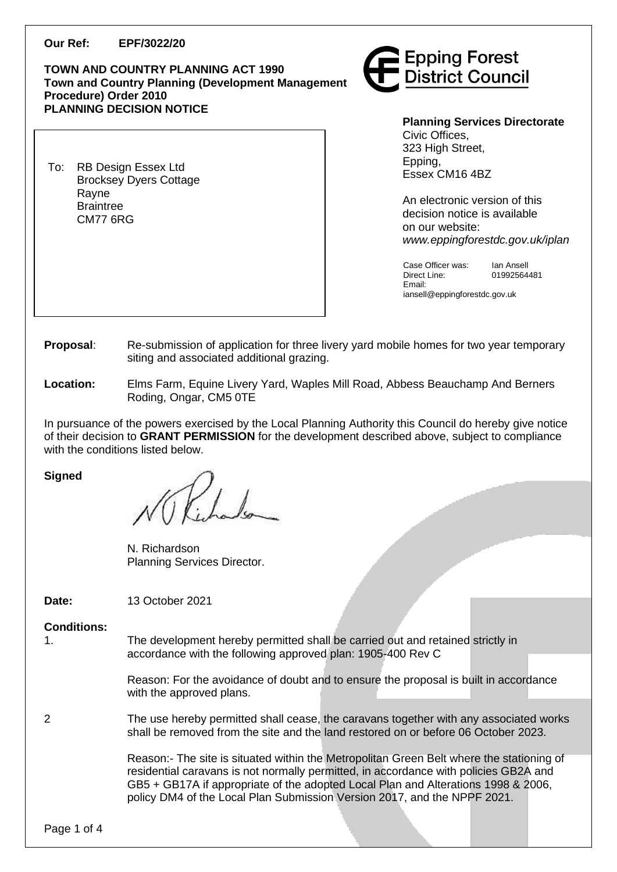### **Our Ref: EPF/3022/20**

### **TOWN AND COUNTRY PLANNING ACT 1990 Town and Country Planning (Development Management Procedure) Order 2010 PLANNING DECISION NOTICE**

To: RB Design Essex Ltd Brocksey Dyers Cottage Rayne Braintree CM77 6RG



**Planning Services Directorate** Civic Offices, 323 High Street. Epping, Essex CM16 4BZ

An electronic version of this decision notice is available on our website: *www.eppingforestdc.gov.uk/iplan*

Case Officer was: Ian Ansell Direct Line: 01992564481 Email:

iansell@eppingforestdc.gov.uk

- **Proposal**: Re-submission of application for three livery yard mobile homes for two year temporary siting and associated additional grazing.
- **Location:** Elms Farm, Equine Livery Yard, Waples Mill Road, Abbess Beauchamp And Berners Roding, Ongar, CM5 0TE

In pursuance of the powers exercised by the Local Planning Authority this Council do hereby give notice of their decision to **GRANT PERMISSION** for the development described above, subject to compliance with the conditions listed below.

**Signed**

N. Richardson Planning Services Director.

**Date:** 13 October 2021

**Conditions:**

1. The development hereby permitted shall be carried out and retained strictly in accordance with the following approved plan: 1905-400 Rev C

> Reason: For the avoidance of doubt and to ensure the proposal is built in accordance with the approved plans.

2 The use hereby permitted shall cease, the caravans together with any associated works shall be removed from the site and the land restored on or before 06 October 2023.

> Reason:- The site is situated within the Metropolitan Green Belt where the stationing of residential caravans is not normally permitted, in accordance with policies GB2A and GB5 + GB17A if appropriate of the adopted Local Plan and Alterations 1998 & 2006, policy DM4 of the Local Plan Submission Version 2017, and the NPPF 2021.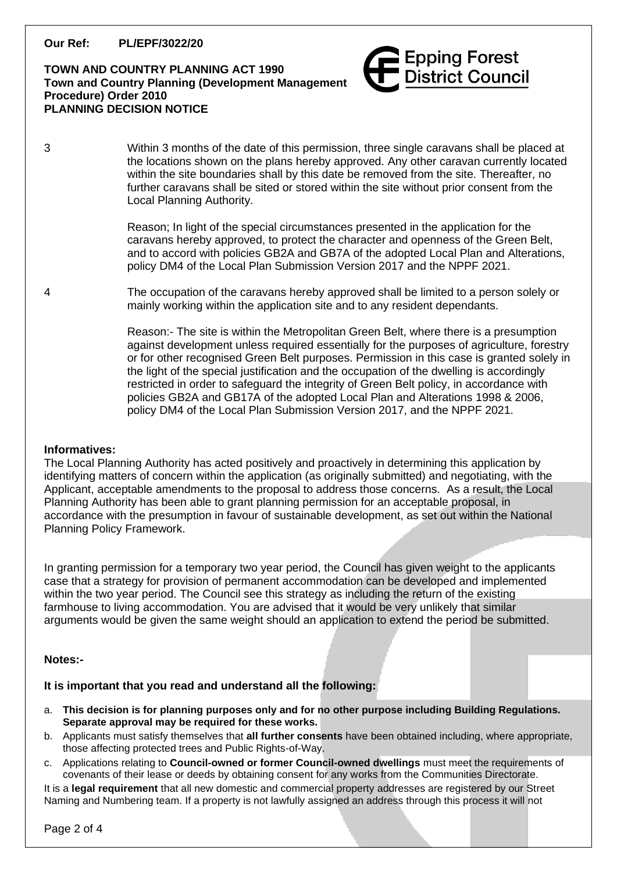**Our Ref: PL/EPF/3022/20**

# **TOWN AND COUNTRY PLANNING ACT 1990 Town and Country Planning (Development Management Procedure) Order 2010 PLANNING DECISION NOTICE**



3 Within 3 months of the date of this permission, three single caravans shall be placed at the locations shown on the plans hereby approved. Any other caravan currently located within the site boundaries shall by this date be removed from the site. Thereafter, no further caravans shall be sited or stored within the site without prior consent from the Local Planning Authority.

> Reason; In light of the special circumstances presented in the application for the caravans hereby approved, to protect the character and openness of the Green Belt, and to accord with policies GB2A and GB7A of the adopted Local Plan and Alterations, policy DM4 of the Local Plan Submission Version 2017 and the NPPF 2021.

4 The occupation of the caravans hereby approved shall be limited to a person solely or mainly working within the application site and to any resident dependants.

> Reason:- The site is within the Metropolitan Green Belt, where there is a presumption against development unless required essentially for the purposes of agriculture, forestry or for other recognised Green Belt purposes. Permission in this case is granted solely in the light of the special justification and the occupation of the dwelling is accordingly restricted in order to safeguard the integrity of Green Belt policy, in accordance with policies GB2A and GB17A of the adopted Local Plan and Alterations 1998 & 2006, policy DM4 of the Local Plan Submission Version 2017, and the NPPF 2021.

### **Informatives:**

The Local Planning Authority has acted positively and proactively in determining this application by identifying matters of concern within the application (as originally submitted) and negotiating, with the Applicant, acceptable amendments to the proposal to address those concerns. As a result, the Local Planning Authority has been able to grant planning permission for an acceptable proposal, in accordance with the presumption in favour of sustainable development, as set out within the National Planning Policy Framework.

In granting permission for a temporary two year period, the Council has given weight to the applicants case that a strategy for provision of permanent accommodation can be developed and implemented within the two year period. The Council see this strategy as including the return of the existing farmhouse to living accommodation. You are advised that it would be very unlikely that similar arguments would be given the same weight should an application to extend the period be submitted.

### **Notes:-**

# **It is important that you read and understand all the following:**

- a. **This decision is for planning purposes only and for no other purpose including Building Regulations. Separate approval may be required for these works.**
- b. Applicants must satisfy themselves that **all further consents** have been obtained including, where appropriate, those affecting protected trees and Public Rights-of-Way.
- c. Applications relating to **Council-owned or former Council-owned dwellings** must meet the requirements of covenants of their lease or deeds by obtaining consent for any works from the Communities Directorate.

It is a **legal requirement** that all new domestic and commercial property addresses are registered by our Street Naming and Numbering team. If a property is not lawfully assigned an address through this process it will not

Page 2 of 4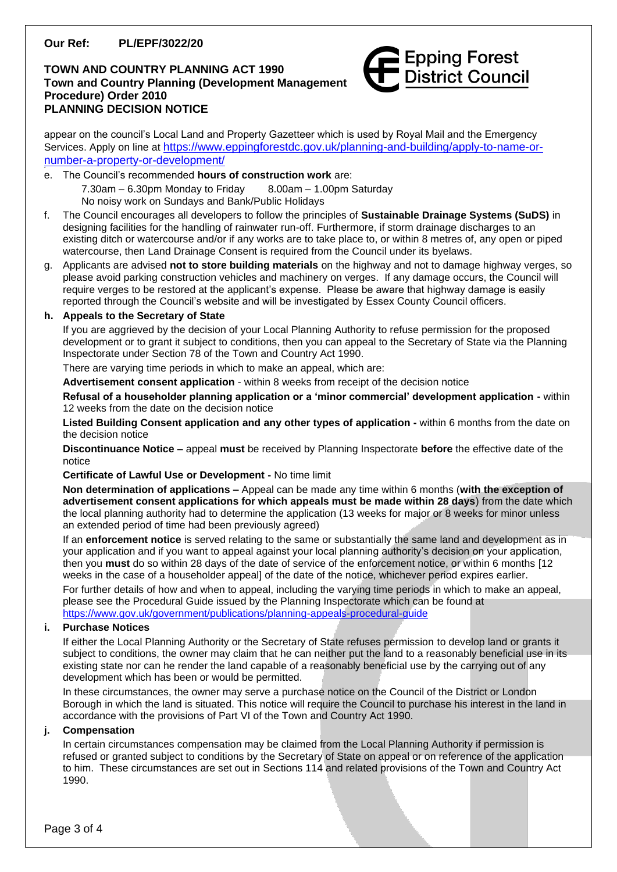# **Our Ref: PL/EPF/3022/20**

# **TOWN AND COUNTRY PLANNING ACT 1990 Town and Country Planning (Development Management Procedure) Order 2010 PLANNING DECISION NOTICE**



appear on the council's Local Land and Property Gazetteer which is used by Royal Mail and the Emergency Services. Apply on line at [https://www.eppingforestdc.gov.uk/planning-and-building/apply-to-name-or](https://www.eppingforestdc.gov.uk/planning-and-building/apply-to-name-or-number-a-property-or-development/)[number-a-property-or-development/](https://www.eppingforestdc.gov.uk/planning-and-building/apply-to-name-or-number-a-property-or-development/)

- e. The Council's recommended **hours of construction work** are:  $7.30$ am – 6.30pm Monday to Friday  $8.00$ am – 1.00pm Saturday No noisy work on Sundays and Bank/Public Holidays
- f. The Council encourages all developers to follow the principles of **Sustainable Drainage Systems (SuDS)** in designing facilities for the handling of rainwater run-off. Furthermore, if storm drainage discharges to an existing ditch or watercourse and/or if any works are to take place to, or within 8 metres of, any open or piped watercourse, then Land Drainage Consent is required from the Council under its byelaws.
- g. Applicants are advised **not to store building materials** on the highway and not to damage highway verges, so please avoid parking construction vehicles and machinery on verges. If any damage occurs, the Council will require verges to be restored at the applicant's expense. Please be aware that highway damage is easily reported through the Council's website and will be investigated by Essex County Council officers.

#### **h. Appeals to the Secretary of State**

If you are aggrieved by the decision of your Local Planning Authority to refuse permission for the proposed development or to grant it subject to conditions, then you can appeal to the Secretary of State via the Planning Inspectorate under Section 78 of the Town and Country Act 1990.

There are varying time periods in which to make an appeal, which are:

**Advertisement consent application** - within 8 weeks from receipt of the decision notice

**Refusal of a householder planning application or a 'minor commercial' development application -** within 12 weeks from the date on the decision notice

**Listed Building Consent application and any other types of application -** within 6 months from the date on the decision notice

**Discontinuance Notice –** appeal **must** be received by Planning Inspectorate **before** the effective date of the notice

**Certificate of Lawful Use or Development -** No time limit

**Non determination of applications –** Appeal can be made any time within 6 months (**with the exception of advertisement consent applications for which appeals must be made within 28 days**) from the date which the local planning authority had to determine the application (13 weeks for major or 8 weeks for minor unless an extended period of time had been previously agreed)

If an **enforcement notice** is served relating to the same or substantially the same land and development as in your application and if you want to appeal against your local planning authority's decision on your application, then you **must** do so within 28 days of the date of service of the enforcement notice, or within 6 months [12 weeks in the case of a householder appeal] of the date of the notice, whichever period expires earlier.

For further details of how and when to appeal, including the varying time periods in which to make an appeal, please see the Procedural Guide issued by the Planning Inspectorate which can be found at <https://www.gov.uk/government/publications/planning-appeals-procedural-guide>

#### **i. Purchase Notices**

If either the Local Planning Authority or the Secretary of State refuses permission to develop land or grants it subject to conditions, the owner may claim that he can neither put the land to a reasonably beneficial use in its existing state nor can he render the land capable of a reasonably beneficial use by the carrying out of any development which has been or would be permitted.

In these circumstances, the owner may serve a purchase notice on the Council of the District or London Borough in which the land is situated. This notice will require the Council to purchase his interest in the land in accordance with the provisions of Part VI of the Town and Country Act 1990.

#### **j. Compensation**

In certain circumstances compensation may be claimed from the Local Planning Authority if permission is refused or granted subject to conditions by the Secretary of State on appeal or on reference of the application to him. These circumstances are set out in Sections 114 and related provisions of the Town and Country Act 1990.